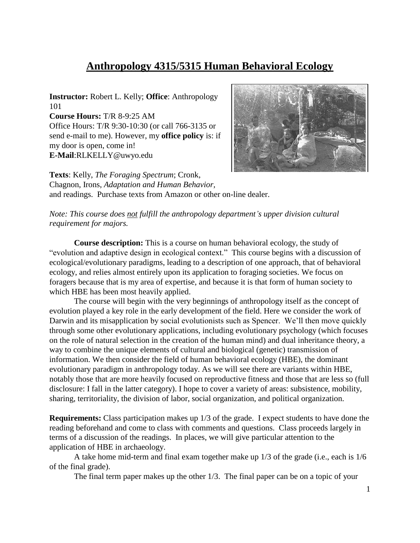# **Anthropology 4315/5315 Human Behavioral Ecology**

**Instructor:** Robert L. Kelly; **Office**: Anthropology 101 **Course Hours:** T/R 8-9:25 AM Office Hours: T/R 9:30-10:30 (or call 766-3135 or send e-mail to me). However, my **office policy** is: if my door is open, come in! **E-Mail**:RLKELLY@uwyo.edu



**Texts**: Kelly, *The Foraging Spectrum*; Cronk, Chagnon, Irons, *Adaptation and Human Behavior,*  and readings. Purchase texts from Amazon or other on-line dealer.

*Note: This course does not fulfill the anthropology department's upper division cultural requirement for majors.* 

**Course description:** This is a course on human behavioral ecology, the study of "evolution and adaptive design in ecological context." This course begins with a discussion of ecological/evolutionary paradigms, leading to a description of one approach, that of behavioral ecology, and relies almost entirely upon its application to foraging societies. We focus on foragers because that is my area of expertise, and because it is that form of human society to which HBE has been most heavily applied.

The course will begin with the very beginnings of anthropology itself as the concept of evolution played a key role in the early development of the field. Here we consider the work of Darwin and its misapplication by social evolutionists such as Spencer. We'll then move quickly through some other evolutionary applications, including evolutionary psychology (which focuses on the role of natural selection in the creation of the human mind) and dual inheritance theory, a way to combine the unique elements of cultural and biological (genetic) transmission of information. We then consider the field of human behavioral ecology (HBE), the dominant evolutionary paradigm in anthropology today. As we will see there are variants within HBE, notably those that are more heavily focused on reproductive fitness and those that are less so (full disclosure: I fall in the latter category). I hope to cover a variety of areas: subsistence, mobility, sharing, territoriality, the division of labor, social organization, and political organization.

**Requirements:** Class participation makes up 1/3 of the grade. I expect students to have done the reading beforehand and come to class with comments and questions. Class proceeds largely in terms of a discussion of the readings. In places, we will give particular attention to the application of HBE in archaeology.

A take home mid-term and final exam together make up 1/3 of the grade (i.e., each is 1/6 of the final grade).

The final term paper makes up the other 1/3. The final paper can be on a topic of your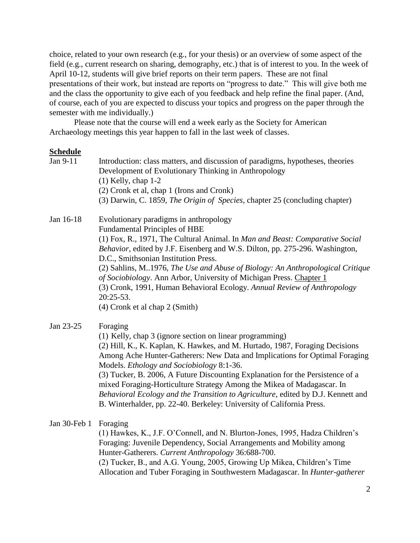choice, related to your own research (e.g., for your thesis) or an overview of some aspect of the field (e.g., current research on sharing, demography, etc.) that is of interest to you. In the week of April 10-12, students will give brief reports on their term papers. These are not final presentations of their work, but instead are reports on "progress to date." This will give both me and the class the opportunity to give each of you feedback and help refine the final paper. (And, of course, each of you are expected to discuss your topics and progress on the paper through the semester with me individually.)

Please note that the course will end a week early as the Society for American Archaeology meetings this year happen to fall in the last week of classes.

#### **Schedule**

| Jan 9-11     | Introduction: class matters, and discussion of paradigms, hypotheses, theories<br>Development of Evolutionary Thinking in Anthropology<br>$(1)$ Kelly, chap 1-2<br>(2) Cronk et al, chap 1 (Irons and Cronk)<br>(3) Darwin, C. 1859, The Origin of Species, chapter 25 (concluding chapter)                                                                                                                                                                                                                                                                                                               |
|--------------|-----------------------------------------------------------------------------------------------------------------------------------------------------------------------------------------------------------------------------------------------------------------------------------------------------------------------------------------------------------------------------------------------------------------------------------------------------------------------------------------------------------------------------------------------------------------------------------------------------------|
| Jan 16-18    | Evolutionary paradigms in anthropology<br><b>Fundamental Principles of HBE</b><br>(1) Fox, R., 1971, The Cultural Animal. In Man and Beast: Comparative Social<br>Behavior, edited by J.F. Eisenberg and W.S. Dilton, pp. 275-296. Washington,<br>D.C., Smithsonian Institution Press.<br>(2) Sahlins, M. 1976, The Use and Abuse of Biology: An Anthropological Critique<br>of Sociobiology. Ann Arbor, University of Michigan Press. Chapter 1<br>(3) Cronk, 1991, Human Behavioral Ecology. Annual Review of Anthropology<br>$20:25-53.$<br>(4) Cronk et al chap 2 (Smith)                             |
| Jan 23-25    | Foraging<br>(1) Kelly, chap 3 (ignore section on linear programming)<br>(2) Hill, K., K. Kaplan, K. Hawkes, and M. Hurtado, 1987, Foraging Decisions<br>Among Ache Hunter-Gatherers: New Data and Implications for Optimal Foraging<br>Models. Ethology and Sociobiology 8:1-36.<br>(3) Tucker, B. 2006, A Future Discounting Explanation for the Persistence of a<br>mixed Foraging-Horticulture Strategy Among the Mikea of Madagascar. In<br>Behavioral Ecology and the Transition to Agriculture, edited by D.J. Kennett and<br>B. Winterhalder, pp. 22-40. Berkeley: University of California Press. |
| Jan 30-Feb 1 | Foraging<br>(1) Hawkes, K., J.F. O'Connell, and N. Blurton-Jones, 1995, Hadza Children's<br>Foraging: Juvenile Dependency, Social Arrangements and Mobility among<br>Hunter-Gatherers. Current Anthropology 36:688-700.                                                                                                                                                                                                                                                                                                                                                                                   |

(2) Tucker, B., and A.G. Young, 2005, Growing Up Mikea, Children's Time Allocation and Tuber Foraging in Southwestern Madagascar. In *Hunter-gatherer*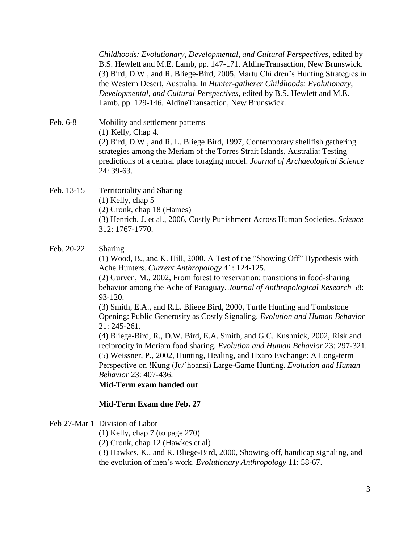*Childhoods: Evolutionary, Developmental, and Cultural Perspectives*, edited by B.S. Hewlett and M.E. Lamb, pp. 147-171. AldineTransaction, New Brunswick. (3) Bird, D.W., and R. Bliege-Bird, 2005, Martu Children's Hunting Strategies in the Western Desert, Australia. In *Hunter-gatherer Childhoods: Evolutionary, Developmental, and Cultural Perspectives*, edited by B.S. Hewlett and M.E. Lamb, pp. 129-146. AldineTransaction, New Brunswick.

Feb. 6-8 Mobility and settlement patterns (1) Kelly, Chap 4. (2) Bird, D.W., and R. L. Bliege Bird, 1997, Contemporary shellfish gathering strategies among the Meriam of the Torres Strait Islands, Australia: Testing predictions of a central place foraging model. *Journal of Archaeological Science* 24: 39-63.

### Feb. 13-15 Territoriality and Sharing (1) Kelly, chap 5 (2) Cronk, chap 18 (Hames) (3) Henrich, J. et al., 2006, Costly Punishment Across Human Societies. *Science* 312: 1767-1770.

Feb. 20-22 Sharing

(1) Wood, B., and K. Hill, 2000, A Test of the "Showing Off" Hypothesis with Ache Hunters. *Current Anthropology* 41: 124-125.

(2) Gurven, M., 2002, From forest to reservation: transitions in food-sharing behavior among the Ache of Paraguay. *Journal of Anthropological Research* 58: 93-120.

(3) Smith, E.A., and R.L. Bliege Bird, 2000, Turtle Hunting and Tombstone Opening: Public Generosity as Costly Signaling. *Evolution and Human Behavior* 21: 245-261.

(4) Bliege-Bird, R., D.W. Bird, E.A. Smith, and G.C. Kushnick, 2002, Risk and reciprocity in Meriam food sharing. *Evolution and Human Behavior* 23: 297-321. (5) Weissner, P., 2002, Hunting, Healing, and Hxaro Exchange: A Long-term Perspective on !Kung (Ju/'hoansi) Large-Game Hunting. *Evolution and Human Behavior* 23: 407-436.

**Mid-Term exam handed out**

#### **Mid-Term Exam due Feb. 27**

#### Feb 27-Mar 1 Division of Labor

(1) Kelly, chap 7 (to page 270)

(2) Cronk, chap 12 (Hawkes et al)

(3) Hawkes, K., and R. Bliege-Bird, 2000, Showing off, handicap signaling, and the evolution of men's work. *Evolutionary Anthropology* 11: 58-67.